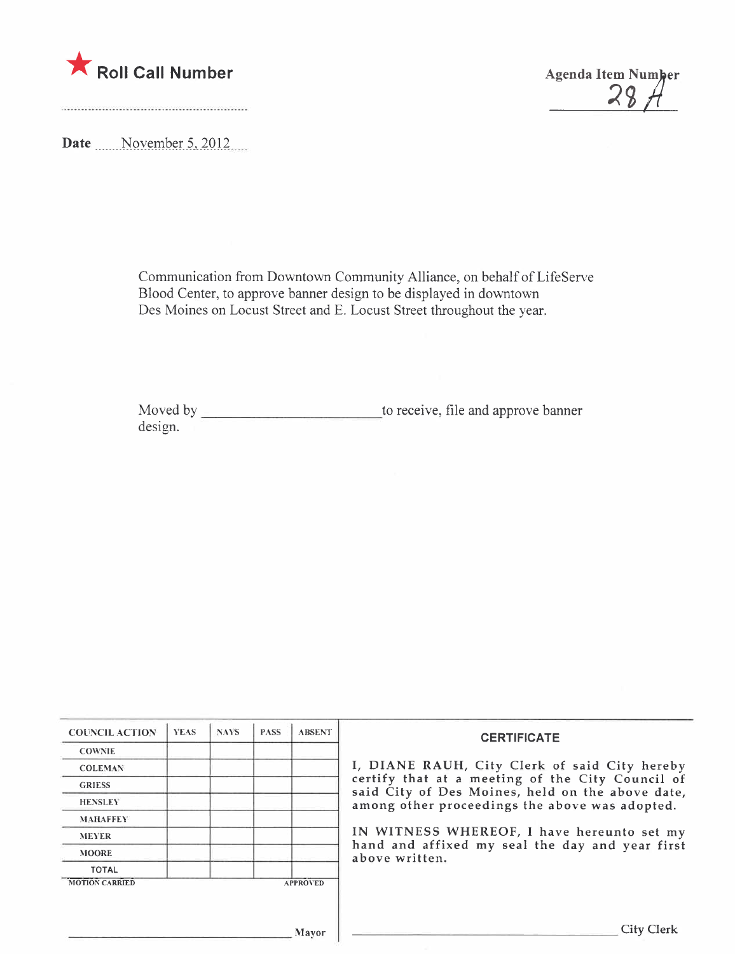



Date November 5, 2012

Communication from Downtown Community Alliance, on behalf of LifeServe Blood Center, to approve banner design to be displayed in downtown Des Moines on Locust Street and E. Locust Street throughout the year.

design.

| <b>COUNCIL ACTION</b>                    | <b>YEAS</b> | <b>NAYS</b> | <b>PASS</b> | <b>ABSENT</b> | <b>CERTIFICATE</b><br>I, DIANE RAUH, City Clerk of said City hereby<br>certify that at a meeting of the City Council of<br>said City of Des Moines, held on the above date,<br>among other proceedings the above was adopted. |  |  |
|------------------------------------------|-------------|-------------|-------------|---------------|-------------------------------------------------------------------------------------------------------------------------------------------------------------------------------------------------------------------------------|--|--|
| <b>COWNIE</b>                            |             |             |             |               |                                                                                                                                                                                                                               |  |  |
| <b>COLEMAN</b>                           |             |             |             |               |                                                                                                                                                                                                                               |  |  |
| <b>GRIESS</b>                            |             |             |             |               |                                                                                                                                                                                                                               |  |  |
| <b>HENSLEY</b>                           |             |             |             |               |                                                                                                                                                                                                                               |  |  |
| <b>MAHAFFEY</b>                          |             |             |             |               |                                                                                                                                                                                                                               |  |  |
| <b>MEYER</b>                             |             |             |             |               | IN WITNESS WHEREOF, I have hereunto set my<br>hand and affixed my seal the day and year first<br>above written.                                                                                                               |  |  |
| <b>MOORE</b>                             |             |             |             |               |                                                                                                                                                                                                                               |  |  |
| <b>TOTAL</b>                             |             |             |             |               |                                                                                                                                                                                                                               |  |  |
| <b>MOTION CARRIED</b><br><b>APPROVED</b> |             |             |             |               |                                                                                                                                                                                                                               |  |  |
|                                          |             |             |             |               |                                                                                                                                                                                                                               |  |  |
| Mayor                                    |             |             |             |               | <b>City Clerk</b>                                                                                                                                                                                                             |  |  |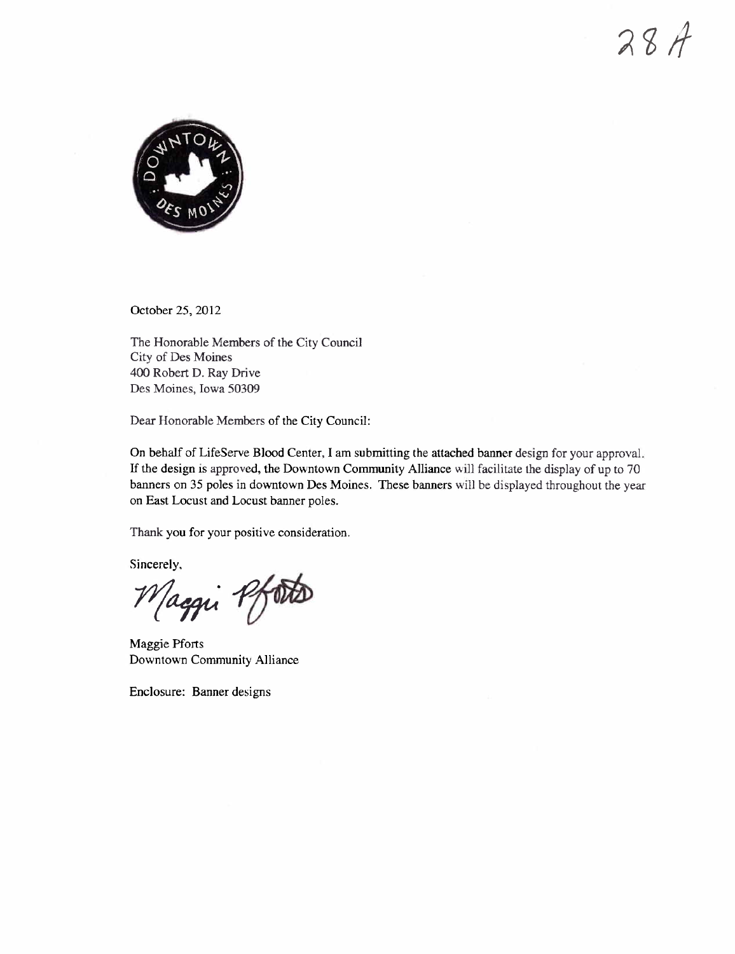



October 25, 2012

The Honorable Members of the City Council City of Des Moines 400 Robert D. Ray Drive Des Moines, Iowa 50309

Dear Honorable Members of the City Council:

On behalf of LifeServe Blood Center, I am submitting the attached banner design for your approvaL. If the design is approved, the Downtown Community Alliance will facilitate the display of up to 70 banners on 35 poles in downtown Des Moines. These banners will be displayed throughout the year on East Locust and Locust banner poles.

Thank you for your positive consideration.

Sincerely.

 $W$ acqui 19

Maggie Pforts Downtown Community Alliance

Enclosure: Banner designs